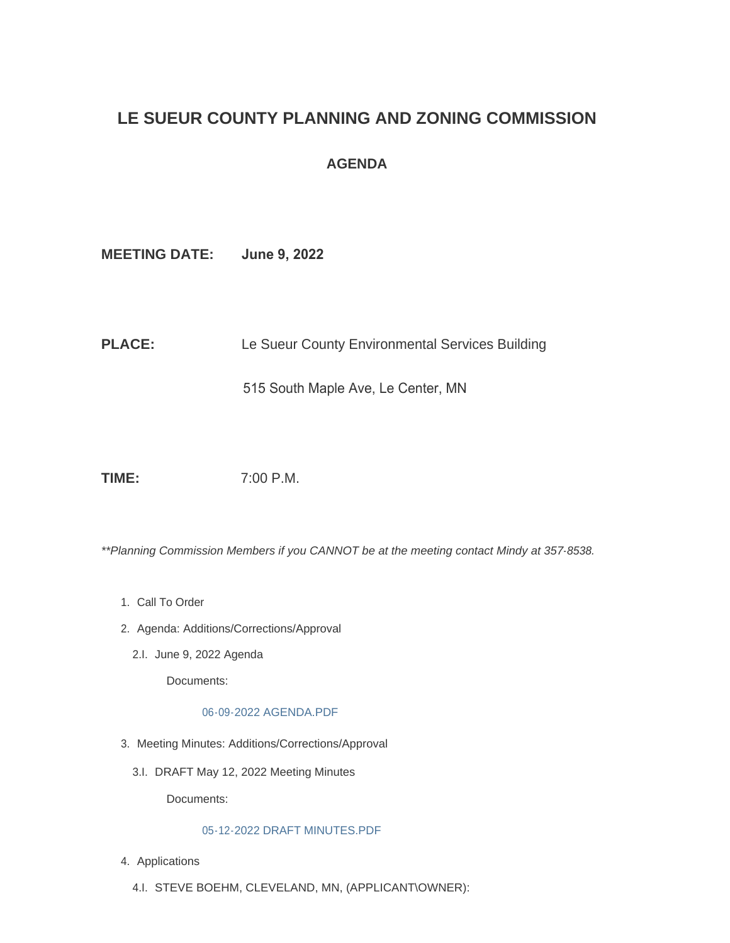# **LE SUEUR COUNTY PLANNING AND ZONING COMMISSION**

# **AGENDA**

**MEETING DATE: June 9, 2022**

PLACE: Le Sueur County Environmental Services Building

515 South Maple Ave, Le Center, MN

**TIME:** 7:00 P.M.

*\*\*Planning Commission Members if you CANNOT be at the meeting contact Mindy at 357-8538.*

- 1. Call To Order
- 2. Agenda: Additions/Corrections/Approval
	- 2.I. June 9, 2022 Agenda

Documents:

[06-09-2022 AGENDA.PDF](https://www.co.le-sueur.mn.us/AgendaCenter/ViewFile/Item/3844?fileID=4359)

- 3. Meeting Minutes: Additions/Corrections/Approval
	- 3.I. DRAFT May 12, 2022 Meeting Minutes

Documents:

## [05-12-2022 DRAFT MINUTES.PDF](https://www.co.le-sueur.mn.us/AgendaCenter/ViewFile/Item/3846?fileID=4360)

- 4. Applications
	- 4.I. STEVE BOEHM, CLEVELAND, MN, (APPLICANT\OWNER):